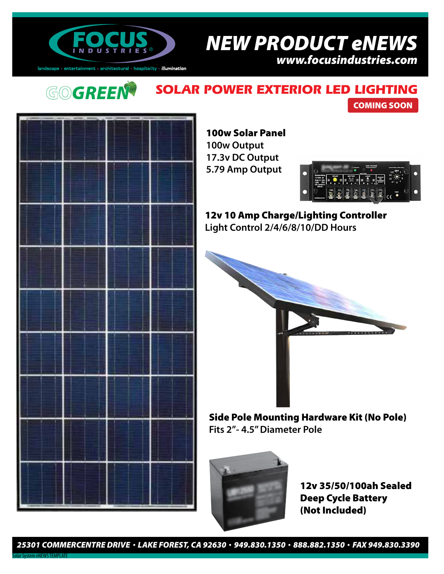

# ® *NEW PRODUCT eNEWS*

*www.focusindustries.com*

 $land \texttt{scale} \cdot \texttt{entertainment} \cdot \texttt{architectural} \cdot \texttt{hostality} \cdot \textit{illumination}$ 

### **GO***GREEN* **SOLAR POWER EXTERIOR LED LIGHTING**



100w Solar Panel **100w Output 17.3v DC Output 5.79 Amp Output**



COMING SOON

12v 10 Amp Charge/Lighting Controller **Light Control 2/4/6/8/10/DD Hours**



Side Pole Mounting Hardware Kit (No Pole) **Fits 2"- 4.5" Diameter Pole**



12v 35/50/100ah Sealed Deep Cycle Battery (Not Included)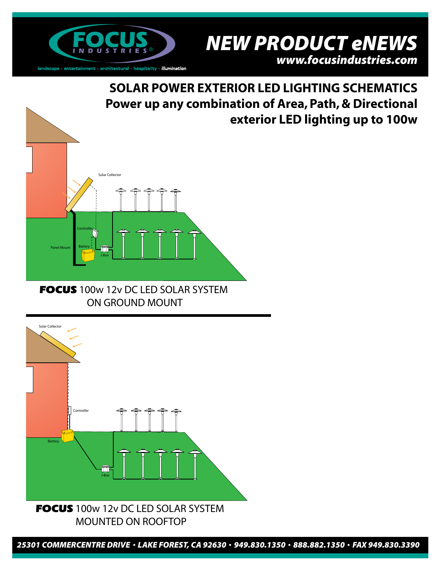

® *NEW PRODUCT eNEWS www.focusindustries.com*

**SOLAR POWER EXTERIOR LED LIGHTING SCHEMATICS Power up any combination of Area, Path, & Directional exterior LED lighting up to 100w**



FOCUS 100w 12v DC LED SOLAR SYSTEM ON GROUND MOUNT



*<sup>25301</sup> COMMERCENTRE DRIVE LAKE FOREST, CA 92630 949.830.1350 888.882.1350 FAX 949.830.3390*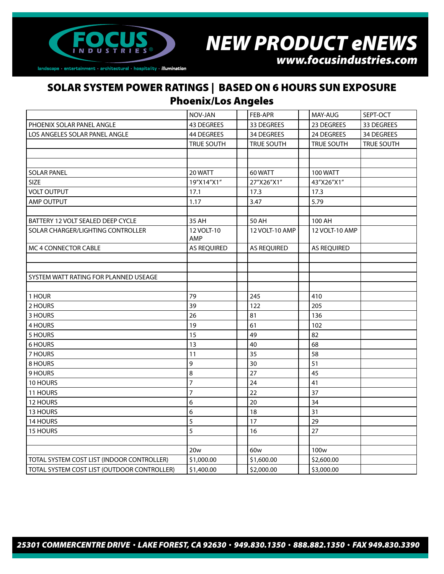

### ® *NEW PRODUCT eNEWS*

*www.focusindustries.com*

#### SOLAR SYSTEM POWER RATINGS | BASED ON 6 HOURS SUN EXPOSURE Phoenix/Los Angeles

|                                             | NOV-JAN            | FEB-APR            | MAY-AUG            | SEPT-OCT   |
|---------------------------------------------|--------------------|--------------------|--------------------|------------|
| PHOENIX SOLAR PANEL ANGLE                   | 43 DEGREES         | 33 DEGREES         | 23 DEGREES         | 33 DEGREES |
| LOS ANGELES SOLAR PANEL ANGLE               | 44 DEGREES         | 34 DEGREES         | 24 DEGREES         | 34 DEGREES |
|                                             | <b>TRUE SOUTH</b>  | TRUE SOUTH         | TRUE SOUTH         | TRUE SOUTH |
|                                             |                    |                    |                    |            |
|                                             |                    |                    |                    |            |
| <b>SOLAR PANEL</b>                          | 20 WATT            | 60 WATT            | <b>100 WATT</b>    |            |
| <b>SIZE</b>                                 | 19"X14"X1"         | 27"X26"X1"         | 43"X26"X1"         |            |
| <b>VOLT OUTPUT</b>                          | 17.1               | 17.3               | 17.3               |            |
| AMP OUTPUT                                  | 1.17               | 3.47               | 5.79               |            |
|                                             |                    |                    |                    |            |
| BATTERY 12 VOLT SEALED DEEP CYCLE           | 35 AH              | 50 AH              | 100 AH             |            |
| SOLAR CHARGER/LIGHTING CONTROLLER           | 12 VOLT-10<br>AMP  | 12 VOLT-10 AMP     | 12 VOLT-10 AMP     |            |
| MC 4 CONNECTOR CABLE                        | <b>AS REQUIRED</b> | <b>AS REQUIRED</b> | <b>AS REQUIRED</b> |            |
|                                             |                    |                    |                    |            |
|                                             |                    |                    |                    |            |
| SYSTEM WATT RATING FOR PLANNED USEAGE       |                    |                    |                    |            |
|                                             |                    |                    |                    |            |
| 1 HOUR                                      | 79                 | 245                | 410                |            |
| 2 HOURS                                     | 39                 | 122                | 205                |            |
| 3 HOURS                                     | 26                 | 81                 | 136                |            |
| 4 HOURS                                     | 19                 | 61                 | 102                |            |
| 5 HOURS                                     | 15                 | 49                 | 82                 |            |
| 6 HOURS                                     | 13                 | 40                 | 68                 |            |
| 7 HOURS                                     | 11                 | 35                 | 58                 |            |
| 8 HOURS                                     | 9                  | 30                 | 51                 |            |
| 9 HOURS                                     | 8                  | 27                 | 45                 |            |
| 10 HOURS                                    | $\overline{7}$     | 24                 | 41                 |            |
| 11 HOURS                                    | 7                  | 22                 | 37                 |            |
| 12 HOURS                                    | 6                  | 20                 | 34                 |            |
| 13 HOURS                                    | 6                  | 18                 | 31                 |            |
| 14 HOURS                                    | 5                  | 17                 | 29                 |            |
| 15 HOURS                                    | 5                  | 16                 | 27                 |            |
|                                             |                    |                    |                    |            |
|                                             | 20 <sub>w</sub>    | 60 <sub>w</sub>    | 100 <sub>w</sub>   |            |
| TOTAL SYSTEM COST LIST (INDOOR CONTROLLER)  | \$1,000.00         | \$1,600.00         | \$2,600.00         |            |
| TOTAL SYSTEM COST LIST (OUTDOOR CONTROLLER) | \$1,400.00         | \$2,000.00         | \$3,000.00         |            |